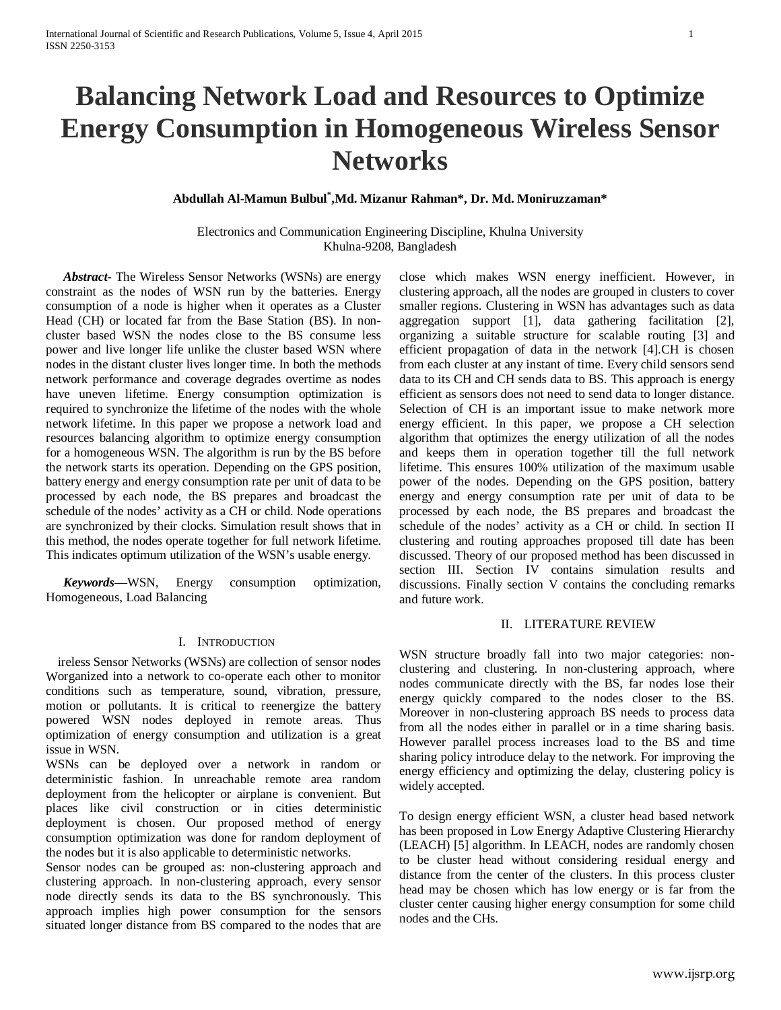# **Balancing Network Load and Resources to Optimize Energy Consumption in Homogeneous Wireless Sensor Networks**

## **Abdullah Al-Mamun Bulbul\* ,Md. Mizanur Rahman\*, Dr. Md. Moniruzzaman\***

## Electronics and Communication Engineering Discipline, Khulna University Khulna-9208, Bangladesh

*Abstract***-** The Wireless Sensor Networks (WSNs) are energy constraint as the nodes of WSN run by the batteries. Energy consumption of a node is higher when it operates as a Cluster Head (CH) or located far from the Base Station (BS). In noncluster based WSN the nodes close to the BS consume less power and live longer life unlike the cluster based WSN where nodes in the distant cluster lives longer time. In both the methods network performance and coverage degrades overtime as nodes have uneven lifetime. Energy consumption optimization is required to synchronize the lifetime of the nodes with the whole network lifetime. In this paper we propose a network load and resources balancing algorithm to optimize energy consumption for a homogeneous WSN. The algorithm is run by the BS before the network starts its operation. Depending on the GPS position, battery energy and energy consumption rate per unit of data to be processed by each node, the BS prepares and broadcast the schedule of the nodes' activity as a CH or child. Node operations are synchronized by their clocks. Simulation result shows that in this method, the nodes operate together for full network lifetime. This indicates optimum utilization of the WSN's usable energy.

*Keywords*—WSN, Energy consumption optimization, Homogeneous, Load Balancing

#### I. INTRODUCTION

ireless Sensor Networks (WSNs) are collection of sensor nodes Worganized into a network to co-operate each other to monitor conditions such as temperature, sound, vibration, pressure, motion or pollutants. It is critical to reenergize the battery powered WSN nodes deployed in remote areas. Thus optimization of energy consumption and utilization is a great issue in WSN.

WSNs can be deployed over a network in random or deterministic fashion. In unreachable remote area random deployment from the helicopter or airplane is convenient. But places like civil construction or in cities deterministic deployment is chosen. Our proposed method of energy consumption optimization was done for random deployment of the nodes but it is also applicable to deterministic networks.

Sensor nodes can be grouped as: non-clustering approach and clustering approach. In non-clustering approach, every sensor node directly sends its data to the BS synchronously. This approach implies high power consumption for the sensors situated longer distance from BS compared to the nodes that are close which makes WSN energy inefficient. However, in clustering approach, all the nodes are grouped in clusters to cover smaller regions. Clustering in WSN has advantages such as data aggregation support [1], data gathering facilitation [2], organizing a suitable structure for scalable routing [3] and efficient propagation of data in the network [4].CH is chosen from each cluster at any instant of time. Every child sensors send data to its CH and CH sends data to BS. This approach is energy efficient as sensors does not need to send data to longer distance. Selection of CH is an important issue to make network more energy efficient. In this paper, we propose a CH selection algorithm that optimizes the energy utilization of all the nodes and keeps them in operation together till the full network lifetime. This ensures 100% utilization of the maximum usable power of the nodes. Depending on the GPS position, battery energy and energy consumption rate per unit of data to be processed by each node, the BS prepares and broadcast the schedule of the nodes' activity as a CH or child. In section II clustering and routing approaches proposed till date has been discussed. Theory of our proposed method has been discussed in section III. Section IV contains simulation results and discussions. Finally section V contains the concluding remarks and future work.

## II. LITERATURE REVIEW

WSN structure broadly fall into two major categories: nonclustering and clustering. In non-clustering approach, where nodes communicate directly with the BS, far nodes lose their energy quickly compared to the nodes closer to the BS. Moreover in non-clustering approach BS needs to process data from all the nodes either in parallel or in a time sharing basis. However parallel process increases load to the BS and time sharing policy introduce delay to the network. For improving the energy efficiency and optimizing the delay, clustering policy is widely accepted.

To design energy efficient WSN, a cluster head based network has been proposed in Low Energy Adaptive Clustering Hierarchy (LEACH) [5] algorithm. In LEACH, nodes are randomly chosen to be cluster head without considering residual energy and distance from the center of the clusters. In this process cluster head may be chosen which has low energy or is far from the cluster center causing higher energy consumption for some child nodes and the CHs.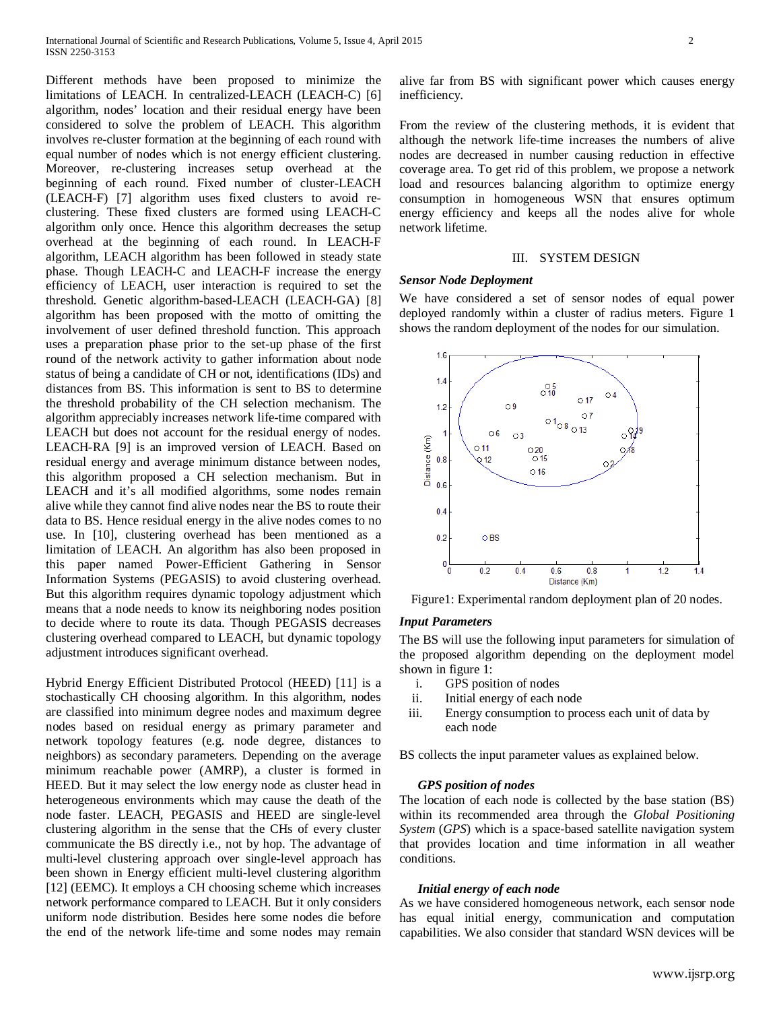Different methods have been proposed to minimize the limitations of LEACH. In centralized-LEACH (LEACH-C) [6] algorithm, nodes' location and their residual energy have been considered to solve the problem of LEACH. This algorithm involves re-cluster formation at the beginning of each round with equal number of nodes which is not energy efficient clustering. Moreover, re-clustering increases setup overhead at the beginning of each round. Fixed number of cluster-LEACH (LEACH-F) [7] algorithm uses fixed clusters to avoid reclustering. These fixed clusters are formed using LEACH-C algorithm only once. Hence this algorithm decreases the setup overhead at the beginning of each round. In LEACH-F algorithm, LEACH algorithm has been followed in steady state phase. Though LEACH-C and LEACH-F increase the energy efficiency of LEACH, user interaction is required to set the threshold. Genetic algorithm-based-LEACH (LEACH-GA) [8] algorithm has been proposed with the motto of omitting the involvement of user defined threshold function. This approach uses a preparation phase prior to the set-up phase of the first round of the network activity to gather information about node status of being a candidate of CH or not, identifications (IDs) and distances from BS. This information is sent to BS to determine the threshold probability of the CH selection mechanism. The algorithm appreciably increases network life-time compared with LEACH but does not account for the residual energy of nodes. LEACH-RA [9] is an improved version of LEACH. Based on residual energy and average minimum distance between nodes, this algorithm proposed a CH selection mechanism. But in LEACH and it's all modified algorithms, some nodes remain alive while they cannot find alive nodes near the BS to route their data to BS. Hence residual energy in the alive nodes comes to no use. In [10], clustering overhead has been mentioned as a limitation of LEACH. An algorithm has also been proposed in this paper named Power-Efficient Gathering in Sensor Information Systems (PEGASIS) to avoid clustering overhead. But this algorithm requires dynamic topology adjustment which means that a node needs to know its neighboring nodes position to decide where to route its data. Though PEGASIS decreases clustering overhead compared to LEACH, but dynamic topology adjustment introduces significant overhead.

Hybrid Energy Efficient Distributed Protocol (HEED) [11] is a stochastically CH choosing algorithm. In this algorithm, nodes are classified into minimum degree nodes and maximum degree nodes based on residual energy as primary parameter and network topology features (e.g. node degree, distances to neighbors) as secondary parameters. Depending on the average minimum reachable power (AMRP), a cluster is formed in HEED. But it may select the low energy node as cluster head in heterogeneous environments which may cause the death of the node faster. LEACH, PEGASIS and HEED are single-level clustering algorithm in the sense that the CHs of every cluster communicate the BS directly i.e., not by hop. The advantage of multi-level clustering approach over single-level approach has been shown in Energy efficient multi-level clustering algorithm [12] (EEMC). It employs a CH choosing scheme which increases network performance compared to LEACH. But it only considers uniform node distribution. Besides here some nodes die before the end of the network life-time and some nodes may remain alive far from BS with significant power which causes energy inefficiency.

From the review of the clustering methods, it is evident that although the network life-time increases the numbers of alive nodes are decreased in number causing reduction in effective coverage area. To get rid of this problem, we propose a network load and resources balancing algorithm to optimize energy consumption in homogeneous WSN that ensures optimum energy efficiency and keeps all the nodes alive for whole network lifetime.

#### III. SYSTEM DESIGN

#### *Sensor Node Deployment*

We have considered a set of sensor nodes of equal power deployed randomly within a cluster of radius meters. Figure 1 shows the random deployment of the nodes for our simulation.



Figure1: Experimental random deployment plan of 20 nodes.

## *Input Parameters*

The BS will use the following input parameters for simulation of the proposed algorithm depending on the deployment model shown in figure 1:

- i. GPS position of nodes
- ii. Initial energy of each node
- iii. Energy consumption to process each unit of data by each node

BS collects the input parameter values as explained below.

## *GPS position of nodes*

The location of each node is collected by the base station (BS) within its recommended area through the *Global Positioning System* (*GPS*) which is a space-based satellite navigation system that provides location and time information in all weather conditions.

#### *Initial energy of each node*

As we have considered homogeneous network, each sensor node has equal initial energy, communication and computation capabilities. We also consider that standard WSN devices will be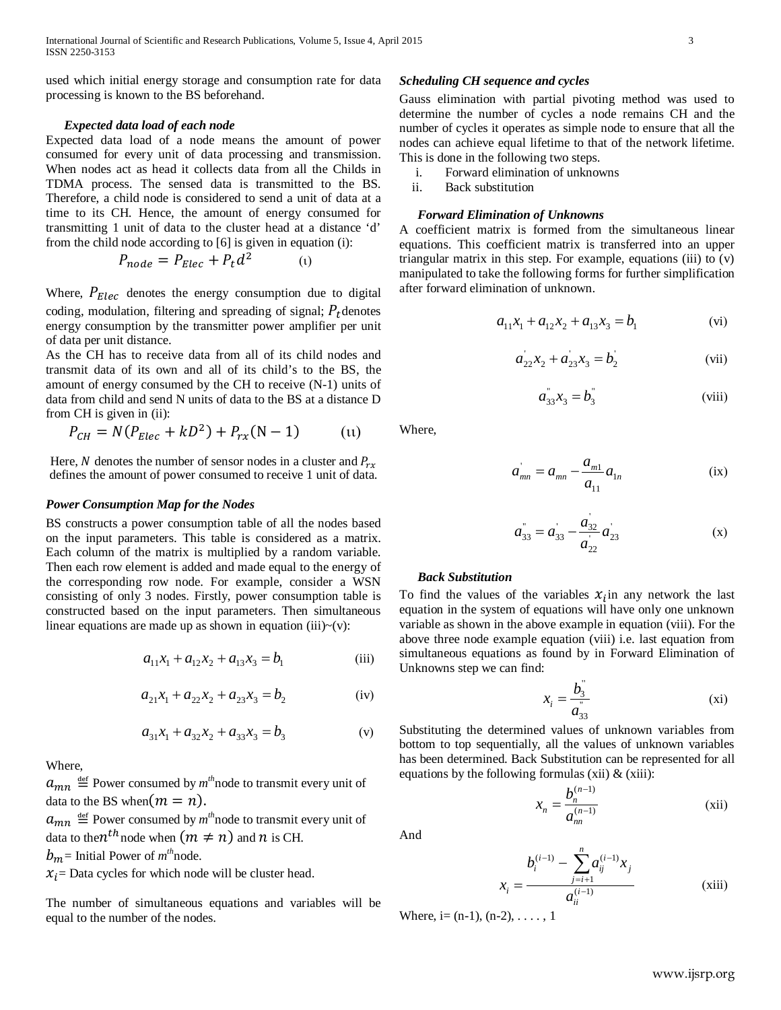used which initial energy storage and consumption rate for data processing is known to the BS beforehand.

#### *Expected data load of each node*

Expected data load of a node means the amount of power consumed for every unit of data processing and transmission. When nodes act as head it collects data from all the Childs in TDMA process. The sensed data is transmitted to the BS. Therefore, a child node is considered to send a unit of data at a time to its CH. Hence, the amount of energy consumed for transmitting 1 unit of data to the cluster head at a distance 'd' from the child node according to [6] is given in equation (i):

$$
P_{node} = P_{Elec} + P_t d^2 \tag{1}
$$

Where,  $P_{Elec}$  denotes the energy consumption due to digital coding, modulation, filtering and spreading of signal;  $P_t$  denotes energy consumption by the transmitter power amplifier per unit of data per unit distance.

As the CH has to receive data from all of its child nodes and transmit data of its own and all of its child's to the BS, the amount of energy consumed by the CH to receive (N-1) units of data from child and send N units of data to the BS at a distance D from CH is given in (ii):

$$
P_{CH} = N(P_{Elec} + kD^2) + P_{rx}(N - 1)
$$
 (11)

Here, N denotes the number of sensor nodes in a cluster and  $P_{rx}$ defines the amount of power consumed to receive 1 unit of data.

## *Power Consumption Map for the Nodes*

BS constructs a power consumption table of all the nodes based on the input parameters. This table is considered as a matrix. Each column of the matrix is multiplied by a random variable. Then each row element is added and made equal to the energy of the corresponding row node. For example, consider a WSN consisting of only 3 nodes. Firstly, power consumption table is constructed based on the input parameters. Then simultaneous linear equations are made up as shown in equation (iii) $\sim$ (v):

$$
a_{11}x_1 + a_{12}x_2 + a_{13}x_3 = b_1
$$
 (iii)

$$
a_{21}x_1 + a_{22}x_2 + a_{23}x_3 = b_2
$$
 (iv)

$$
a_{31}x_1 + a_{32}x_2 + a_{33}x_3 = b_3
$$
 (v)

Where,

 $a_{mn} \stackrel{\text{def}}{=}$  Power consumed by  $m^{th}$  node to transmit every unit of data to the BS when $(m = n)$ .

 $a_{mn} \stackrel{\text{def}}{=}$  Power consumed by  $m^{\text{th}}$  node to transmit every unit of data to the  $n^{th}$  node when  $(m \neq n)$  and  $n$  is CH.

 $b_m$ = Initial Power of  $m^{\text{th}}$ node.

 $x_i$  Data cycles for which node will be cluster head.

The number of simultaneous equations and variables will be equal to the number of the nodes.

## *Scheduling CH sequence and cycles*

Gauss elimination with partial pivoting method was used to determine the number of cycles a node remains CH and the number of cycles it operates as simple node to ensure that all the nodes can achieve equal lifetime to that of the network lifetime. This is done in the following two steps.

- i. Forward elimination of unknowns
- ii. Back substitution

#### *Forward Elimination of Unknowns*

A coefficient matrix is formed from the simultaneous linear equations. This coefficient matrix is transferred into an upper triangular matrix in this step. For example, equations (iii) to (v) manipulated to take the following forms for further simplification after forward elimination of unknown.

$$
a_{11}x_1 + a_{12}x_2 + a_{13}x_3 = b_1
$$
 (vi)

$$
a_{22}x_2 + a_{23}x_3 = b_2
$$
 (vii)

$$
a_{33}^{"}x_3 = b_3^{"}
$$
 (viii)

Where,

$$
a_{mn} = a_{mn} - \frac{a_{m1}}{a_{11}} a_{1n}
$$
 (ix)

$$
a_{33}^{n} = a_{33}^{n} - \frac{a_{32}}{a_{22}} a_{23}
$$
 (x)

### *Back Substitution*

To find the values of the variables  $x_i$  in any network the last equation in the system of equations will have only one unknown variable as shown in the above example in equation (viii). For the above three node example equation (viii) i.e. last equation from simultaneous equations as found by in Forward Elimination of Unknowns step we can find:

$$
x_i = \frac{b_3^2}{a_{33}^2}
$$
 (xi)

Substituting the determined values of unknown variables from bottom to top sequentially, all the values of unknown variables has been determined. Back Substitution can be represented for all equations by the following formulas (xii)  $\&$  (xiii):

$$
x_n = \frac{b_n^{(n-1)}}{a_{nn}^{(n-1)}}
$$
 (xii)

And

$$
x_{i} = \frac{b_{i}^{(i-1)} - \sum_{j=i+1}^{n} a_{ij}^{(i-1)} x_{j}}{a_{ii}^{(i-1)}}
$$
 (xiii)

Where,  $i = (n-1)$ ,  $(n-2)$ , ..., 1

www.ijsrp.org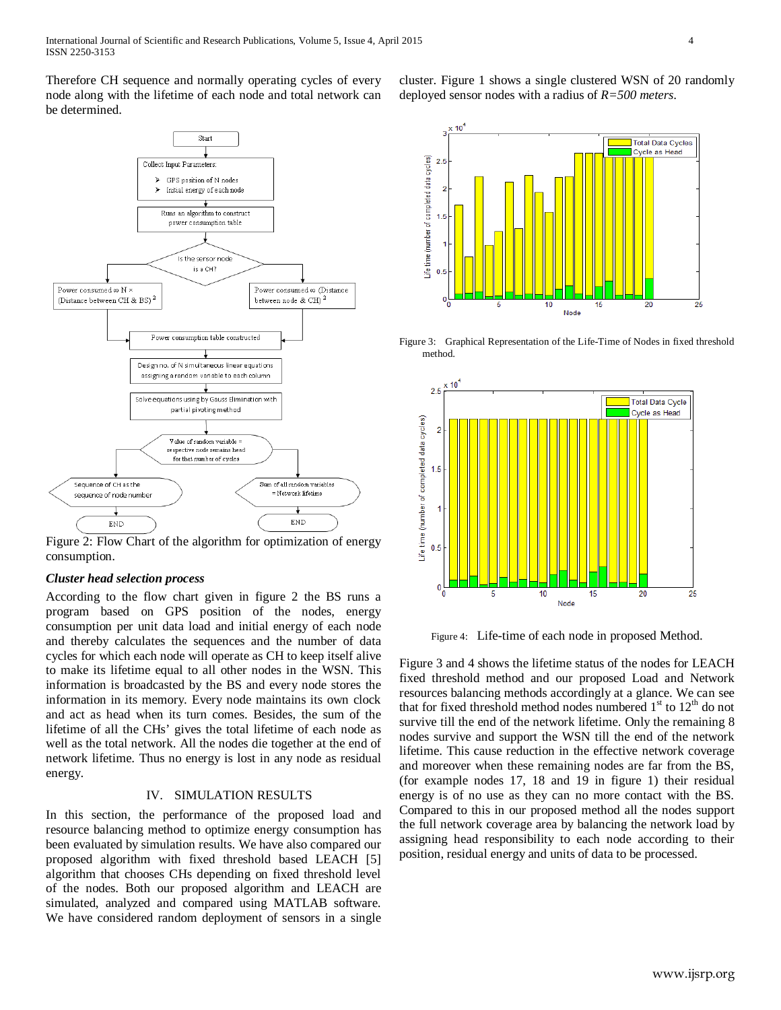Therefore CH sequence and normally operating cycles of every node along with the lifetime of each node and total network can be determined.



Figure 2: Flow Chart of the algorithm for optimization of energy consumption.

#### *Cluster head selection process*

According to the flow chart given in figure 2 the BS runs a program based on GPS position of the nodes, energy consumption per unit data load and initial energy of each node and thereby calculates the sequences and the number of data cycles for which each node will operate as CH to keep itself alive to make its lifetime equal to all other nodes in the WSN. This information is broadcasted by the BS and every node stores the information in its memory. Every node maintains its own clock and act as head when its turn comes. Besides, the sum of the lifetime of all the CHs' gives the total lifetime of each node as well as the total network. All the nodes die together at the end of network lifetime. Thus no energy is lost in any node as residual energy.

## IV. SIMULATION RESULTS

In this section, the performance of the proposed load and resource balancing method to optimize energy consumption has been evaluated by simulation results. We have also compared our proposed algorithm with fixed threshold based LEACH [5] algorithm that chooses CHs depending on fixed threshold level of the nodes. Both our proposed algorithm and LEACH are simulated, analyzed and compared using MATLAB software. We have considered random deployment of sensors in a single cluster. Figure 1 shows a single clustered WSN of 20 randomly deployed sensor nodes with a radius of *R=500 meters*.







Figure 4: Life-time of each node in proposed Method.

Figure 3 and 4 shows the lifetime status of the nodes for LEACH fixed threshold method and our proposed Load and Network resources balancing methods accordingly at a glance. We can see that for fixed threshold method nodes numbered  $1<sup>st</sup>$  to  $12<sup>th</sup>$  do not survive till the end of the network lifetime. Only the remaining 8 nodes survive and support the WSN till the end of the network lifetime. This cause reduction in the effective network coverage and moreover when these remaining nodes are far from the BS, (for example nodes 17, 18 and 19 in figure 1) their residual energy is of no use as they can no more contact with the BS. Compared to this in our proposed method all the nodes support the full network coverage area by balancing the network load by assigning head responsibility to each node according to their position, residual energy and units of data to be processed.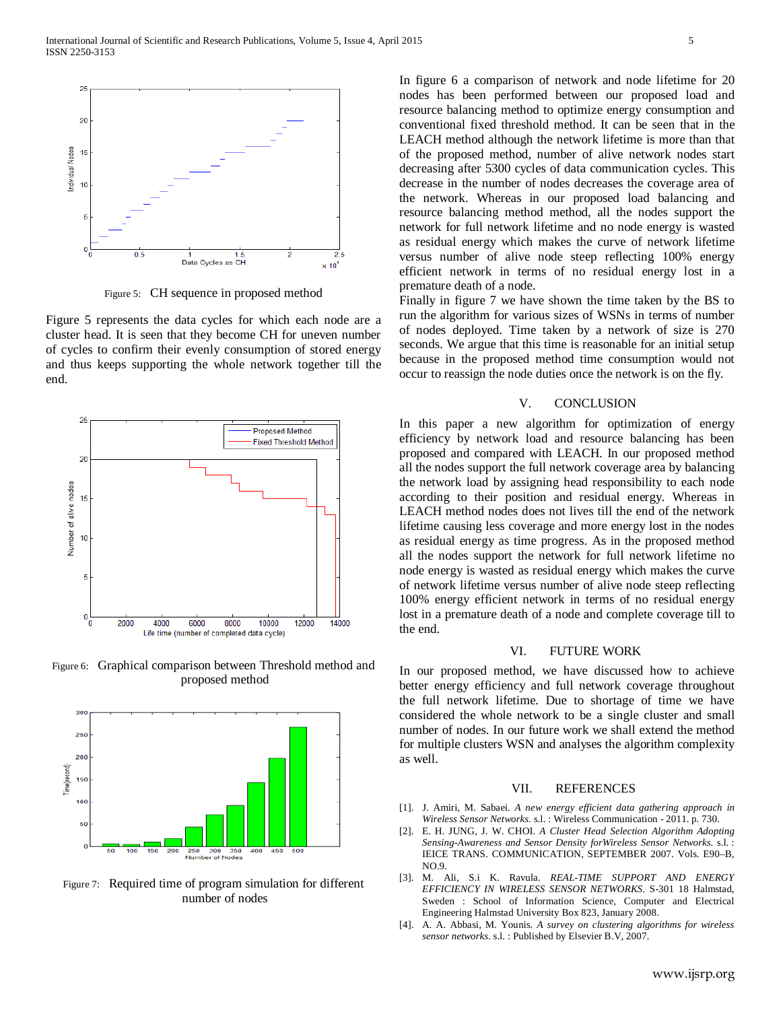

Figure 5: CH sequence in proposed method

Figure 5 represents the data cycles for which each node are a cluster head. It is seen that they become CH for uneven number of cycles to confirm their evenly consumption of stored energy and thus keeps supporting the whole network together till the end.



Figure 6: Graphical comparison between Threshold method and proposed method



Figure 7: Required time of program simulation for different number of nodes

In figure 6 a comparison of network and node lifetime for 20 nodes has been performed between our proposed load and resource balancing method to optimize energy consumption and conventional fixed threshold method. It can be seen that in the LEACH method although the network lifetime is more than that of the proposed method, number of alive network nodes start decreasing after 5300 cycles of data communication cycles. This decrease in the number of nodes decreases the coverage area of the network. Whereas in our proposed load balancing and resource balancing method method, all the nodes support the network for full network lifetime and no node energy is wasted as residual energy which makes the curve of network lifetime versus number of alive node steep reflecting 100% energy efficient network in terms of no residual energy lost in a premature death of a node.

Finally in figure 7 we have shown the time taken by the BS to run the algorithm for various sizes of WSNs in terms of number of nodes deployed. Time taken by a network of size is 270 seconds. We argue that this time is reasonable for an initial setup because in the proposed method time consumption would not occur to reassign the node duties once the network is on the fly.

#### V. CONCLUSION

In this paper a new algorithm for optimization of energy efficiency by network load and resource balancing has been proposed and compared with LEACH. In our proposed method all the nodes support the full network coverage area by balancing the network load by assigning head responsibility to each node according to their position and residual energy. Whereas in LEACH method nodes does not lives till the end of the network lifetime causing less coverage and more energy lost in the nodes as residual energy as time progress. As in the proposed method all the nodes support the network for full network lifetime no node energy is wasted as residual energy which makes the curve of network lifetime versus number of alive node steep reflecting 100% energy efficient network in terms of no residual energy lost in a premature death of a node and complete coverage till to the end.

## VI. FUTURE WORK

In our proposed method, we have discussed how to achieve better energy efficiency and full network coverage throughout the full network lifetime. Due to shortage of time we have considered the whole network to be a single cluster and small number of nodes. In our future work we shall extend the method for multiple clusters WSN and analyses the algorithm complexity as well.

#### VII. REFERENCES

- [1]. J. Amiri, M. Sabaei. *A new energy efficient data gathering approach in Wireless Sensor Networks.* s.l. : Wireless Communication - 2011. p. 730.
- [2]. E. H. JUNG, J. W. CHOI. *A Cluster Head Selection Algorithm Adopting Sensing-Awareness and Sensor Density forWireless Sensor Networks.* s.l. : IEICE TRANS. COMMUNICATION, SEPTEMBER 2007. Vols. E90–B, NO.9.
- [3]. M. Ali, S.i K. Ravula. *REAL-TIME SUPPORT AND ENERGY EFFICIENCY IN WIRELESS SENSOR NETWORKS.* S-301 18 Halmstad, Sweden : School of Information Science, Computer and Electrical Engineering Halmstad University Box 823, January 2008.
- [4]. A. A. Abbasi, M. Younis. *A survey on clustering algorithms for wireless sensor networks.* s.l. : Published by Elsevier B.V, 2007.